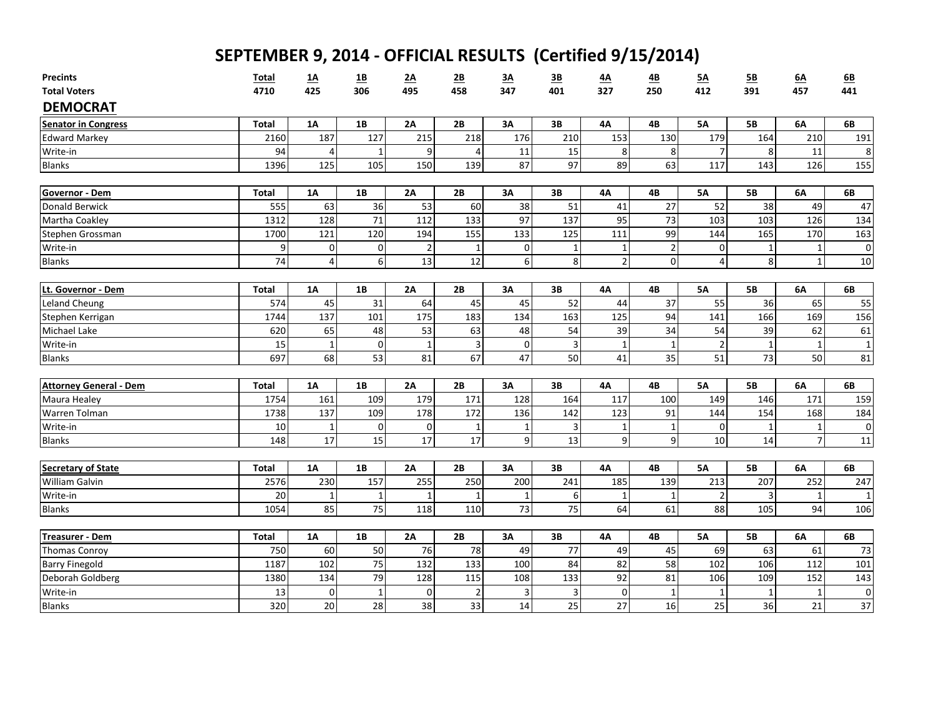| <b>Precints</b>                             | <b>Total</b>         | <u>1A</u>               | $\underline{\mathbf{1}}\underline{\mathbf{B}}$ | <u>2A</u>      | 2B              | 3A           | 3B        | 4A               | <u>4B</u>      | <u>5A</u>      | 5B               | 6A           | 6B              |
|---------------------------------------------|----------------------|-------------------------|------------------------------------------------|----------------|-----------------|--------------|-----------|------------------|----------------|----------------|------------------|--------------|-----------------|
| <b>Total Voters</b>                         | 4710                 | 425                     | 306                                            | 495            | 458             | 347          | 401       | 327              | 250            | 412            | 391              | 457          | 441             |
| <b>DEMOCRAT</b>                             |                      |                         |                                                |                |                 |              |           |                  |                |                |                  |              |                 |
| <b>Senator in Congress</b>                  | <b>Total</b>         | 1A                      | 1B                                             | 2A             | 2B              | 3A           | 3B        | <b>4A</b>        | 4B             | <b>5A</b>      | <b>5B</b>        | 6A           | 6B              |
| <b>Edward Markey</b>                        | 2160                 | 187                     | 127                                            | 215            | 218             | 176          | 210       | 153              | 130            | 179            | 164              | 210          | 191             |
| Write-in                                    | 94                   | $\overline{4}$          | 1                                              | 9              | $\overline{4}$  | 11           | 15        | 8                | 8              | $\overline{7}$ | 8                | 11           | 8               |
| <b>Blanks</b>                               | 1396                 | 125                     | 105                                            | 150            | 139             | 87           | 97        | 89               | 63             | 117            | 143              | 126          | 155             |
| Governor - Dem                              | <b>Total</b>         | <b>1A</b>               | 1B                                             | 2A             | 2B              | 3A           | 3B        | 4A               | 4B             | 5A             | <b>5B</b>        | 6A           | 6B              |
| <b>Donald Berwick</b>                       | 555                  | 63                      | 36                                             | 53             | 60              | 38           | 51        | 41               | 27             | 52             | 38               | 49           | 47              |
| Martha Coakley                              | 1312                 | 128                     | 71                                             | 112            | 133             | 97           | 137       | 95               | 73             | 103            | 103              | 126          | 134             |
| Stephen Grossman                            | 1700                 | 121                     | 120                                            | 194            | 155             | 133          | 125       | 111              | 99             | 144            | 165              | 170          | 163             |
| Write-in                                    | 9                    | $\pmb{0}$               | 0                                              | $\overline{2}$ | $\mathbf{1}$    | 0            | 1         | $\mathbf{1}$     | $\overline{2}$ | 0              | 1                | $\mathbf 1$  | $\pmb{0}$       |
| <b>Blanks</b>                               | 74                   | $\overline{\mathbf{4}}$ | $\boldsymbol{6}$                               | 13             | $\overline{12}$ | 6            | 8         | $\overline{2}$   | $\mathbf 0$    | 4              | 8                | $\mathbf{1}$ | 10              |
|                                             |                      |                         |                                                |                |                 |              |           |                  |                |                |                  |              |                 |
| Lt. Governor - Dem                          | <b>Total</b><br>574  | <b>1A</b><br>45         | <b>1B</b><br>31                                | 2A<br>64       | 2B<br>45        | 3A<br>45     | 3B<br>52  | 4A<br>44         | 4B<br>37       | 5A<br>55       | <b>5B</b><br>36  | 6A<br>65     | 6B<br>55        |
| <b>Leland Cheung</b>                        | 1744                 | 137                     | 101                                            | 175            | 183             | 134          | 163       | 125              | 94             | 141            | 166              | 169          | 156             |
| Stephen Kerrigan<br><b>Michael Lake</b>     | 620                  | 65                      | 48                                             | 53             | 63              | 48           | 54        | 39               | 34             | 54             | 39               | 62           | 61              |
| Write-in                                    | 15                   | $\mathbf{1}$            | $\mathbf 0$                                    | 1              | 3               | $\mathbf 0$  | 3         | $\mathbf{1}$     | $\mathbf{1}$   | $\overline{2}$ | 1                |              | $\mathbf 1$     |
| <b>Blanks</b>                               | 697                  | 68                      | 53                                             | 81             | 67              | 47           | 50        | 41               | 35             | 51             | 73               | 50           | 81              |
|                                             |                      |                         |                                                |                |                 |              |           |                  |                |                |                  |              |                 |
| <b>Attorney General - Dem</b>               | <b>Total</b>         | 1A                      | 1B                                             | 2A             | 2B              | 3A           | 3B        | <b>4A</b>        | 4B             | <b>5A</b>      | <b>5B</b>        | 6A           | 6B              |
| Maura Healey                                | 1754                 | 161                     | 109                                            | 179            | 171             | 128          | 164       | 117              | 100            | 149            | 146              | 171          | 159             |
| Warren Tolman                               | 1738                 | 137                     | 109                                            | 178            | 172             | 136          | 142       | 123              | 91             | 144            | 154              | 168          | 184             |
| Write-in                                    | 10                   | $1\,$                   | 0                                              | $\mathbf 0$    | $\mathbf{1}$    | $\mathbf{1}$ | 3         | $\mathbf{1}$     | $\mathbf{1}$   | $\mathbf 0$    | 1                |              | $\mathbf 0$     |
| <b>Blanks</b>                               | 148                  | 17                      | 15                                             | 17             | 17              | 9            | 13        | $\boldsymbol{9}$ | 9              | 10             | 14               |              | $11\,$          |
|                                             |                      |                         |                                                | 2A             |                 |              |           |                  |                | <b>5A</b>      |                  |              |                 |
| <b>Secretary of State</b><br>William Galvin | <b>Total</b><br>2576 | 1A<br>230               | 1B<br>157                                      | 255            | 2B<br>250       | 3A<br>200    | 3B<br>241 | 4A<br>185        | 4B<br>139      | 213            | <b>5B</b><br>207 | 6A<br>252    | 6B<br>247       |
| Write-in                                    | 20                   | $\mathbf{1}$            | $\mathbf{1}$                                   |                | $\mathbf{1}$    | $\mathbf{1}$ | 6         | $\mathbf{1}$     | $\mathbf{1}$   | $\overline{2}$ | 3                |              | $\mathbf{1}$    |
| <b>Blanks</b>                               | 1054                 | 85                      | 75                                             | 118            | 110             | 73           | 75        | 64               | 61             | 88             | 105              | 94           | 106             |
|                                             |                      |                         |                                                |                |                 |              |           |                  |                |                |                  |              |                 |
| <b>Treasurer - Dem</b>                      | <b>Total</b>         | 1A                      | 1B                                             | 2A             | 2B              | 3A           | 3B        | <b>4A</b>        | 4B             | <b>5A</b>      | <b>5B</b>        | 6A           | 6B              |
| <b>Thomas Conroy</b>                        | 750                  | 60                      | 50                                             | 76             | 78              | 49           | 77        | 49               | 45             | 69             | 63               | 61           | 73              |
| <b>Barry Finegold</b>                       | 1187                 | 102                     | 75                                             | 132            | 133             | 100          | 84        | 82               | 58             | 102            | 106              | 112          | 101             |
| Deborah Goldberg                            | 1380                 | 134                     | 79                                             | 128            | 115             | 108          | 133       | 92               | 81             | 106            | 109              | 152          | 143             |
| Write-in                                    | 13                   | 0                       | $\mathbf{1}$                                   | $\mathbf 0$    | $\overline{2}$  | 3            | 3         | $\mathbf 0$      | $\mathbf{1}$   | 1              | 1                |              | $\pmb{0}$       |
| <b>Blanks</b>                               | 320                  | $\overline{20}$         | 28                                             | 38             | 33              | 14           | 25        | 27               | 16             | 25             | 36               | 21           | $\overline{37}$ |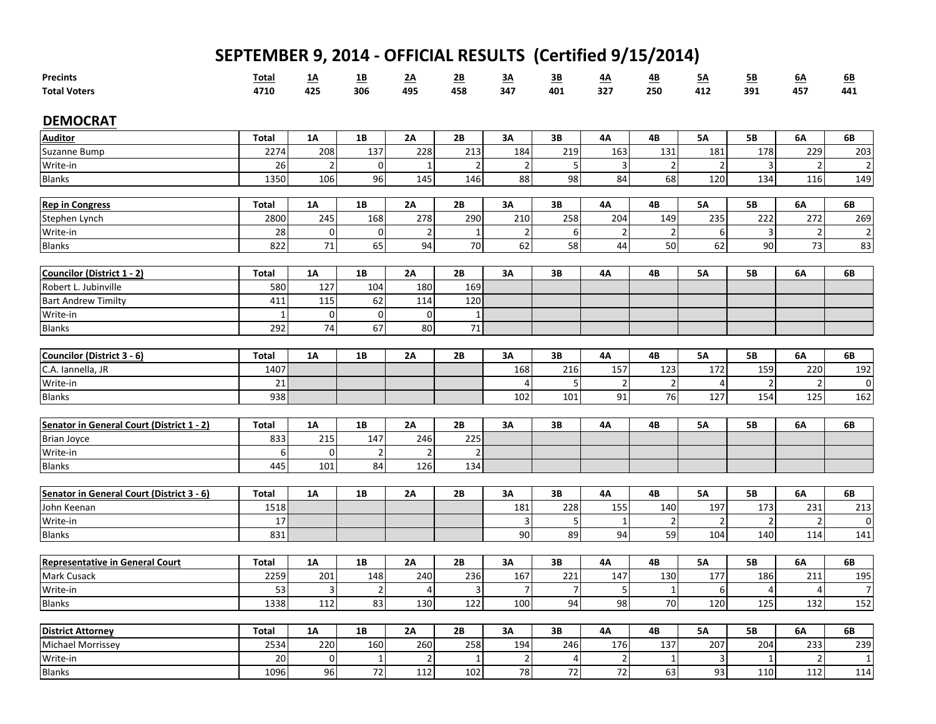| <b>Precints</b>                           | <b>Total</b> | $\underline{1A}$        | <u>1B</u>       | <u>2A</u>      | <u>2B</u>      | 3A              | <u>3B</u>        | 4A              | <u>4B</u>       | 5A             | 5B                      | 6A             | 6B             |
|-------------------------------------------|--------------|-------------------------|-----------------|----------------|----------------|-----------------|------------------|-----------------|-----------------|----------------|-------------------------|----------------|----------------|
| <b>Total Voters</b>                       | 4710         | 425                     | 306             | 495            | 458            | 347             | 401              | 327             | 250             | 412            | 391                     | 457            | 441            |
| <b>DEMOCRAT</b>                           |              |                         |                 |                |                |                 |                  |                 |                 |                |                         |                |                |
| <b>Auditor</b>                            | <b>Total</b> | 1A                      | 1B              | 2A             | 2B             | 3A              | 3B               | 4Α              | 4B              | <b>5A</b>      | <b>5B</b>               | 6A             | 6B             |
| Suzanne Bump                              | 2274         | 208                     | 137             | 228            | 213            | 184             | 219              | 163             | 131             | 181            | 178                     | 229            | 203            |
| Write-in                                  | 26           | $\overline{2}$          | $\mathbf 0$     | $\mathbf{1}$   | $\mathbf 2$    | $\overline{2}$  | 5                | 3               | $\overline{2}$  | $\overline{c}$ | 3                       | $\mathfrak{p}$ | $\overline{2}$ |
| <b>Blanks</b>                             | 1350         | 106                     | 96              | 145            | 146            | 88              | 98               | 84              | 68              | 120            | 134                     | 116            | 149            |
|                                           |              |                         |                 |                |                |                 |                  |                 |                 |                |                         |                |                |
| <b>Rep in Congress</b>                    | <b>Total</b> | <b>1A</b>               | <b>1B</b>       | 2A             | 2B             | 3A              | 3В               | 4A              | 4B              | <b>5A</b>      | <b>5B</b>               | 6A             | 6B             |
| Stephen Lynch                             | 2800         | 245                     | 168             | 278            | 290            | 210             | 258              | 204             | 149             | 235            | 222                     | 272            | 269            |
| Write-in                                  | 28           | $\pmb{0}$               | $\pmb{0}$       | $\overline{2}$ | $\mathbf{1}$   | $\overline{2}$  | $\boldsymbol{6}$ | $\mathbf 2$     | $\overline{2}$  | 6              | $\overline{\mathbf{3}}$ | $\overline{2}$ | $\overline{2}$ |
| <b>Blanks</b>                             | 822          | 71                      | 65              | 94             | 70             | 62              | 58               | 44              | 50              | 62             | 90                      | 73             | 83             |
|                                           |              |                         |                 |                |                |                 |                  |                 |                 |                |                         |                |                |
| Councilor (District 1 - 2)                | <b>Total</b> | 1A                      | 1B              | 2A             | 2B             | 3A              | 3В               | 4A              | 4B              | <b>5A</b>      | 5В                      | 6A             | 6В             |
| Robert L. Jubinville                      | 580          | 127                     | 104             | 180            | 169            |                 |                  |                 |                 |                |                         |                |                |
| <b>Bart Andrew Timilty</b>                | 411          | 115                     | 62              | 114            | 120            |                 |                  |                 |                 |                |                         |                |                |
| Write-in                                  | $\mathbf{1}$ | $\pmb{0}$               | $\mathbf 0$     | $\Omega$       | $\mathbf{1}$   |                 |                  |                 |                 |                |                         |                |                |
| <b>Blanks</b>                             | 292          | 74                      | 67              | 80             | 71             |                 |                  |                 |                 |                |                         |                |                |
|                                           |              |                         |                 |                |                |                 |                  |                 |                 |                |                         |                |                |
| Councilor (District 3 - 6)                | <b>Total</b> | 1A                      | 1B              | 2A             | 2B             | 3A              | 3B               | 4Α              | 4B              | <b>5A</b>      | <b>5B</b>               | 6A             | 6B             |
| C.A. Iannella, JR                         | 1407         |                         |                 |                |                | 168             | 216              | 157             | 123             | 172            | 159                     | 220            | 192            |
| Write-in                                  | 21           |                         |                 |                |                | $\overline{4}$  | 5                | $\overline{2}$  | $\overline{2}$  | 4              | $\overline{2}$          | $\overline{2}$ | $\mathbf 0$    |
| <b>Blanks</b>                             | 938          |                         |                 |                |                | 102             | 101              | $\overline{91}$ | $\overline{76}$ | 127            | 154                     | 125            | 162            |
|                                           |              |                         |                 |                |                |                 |                  |                 |                 |                |                         |                |                |
| Senator in General Court (District 1 - 2) | <b>Total</b> | <b>1A</b>               | 1B              | 2A             | 2B             | 3A              | 3B               | 4A              | 4B              | <b>5A</b>      | <b>5B</b>               | 6A             | 6B             |
| <b>Brian Joyce</b>                        | 833          | 215                     | 147             | 246            | 225            |                 |                  |                 |                 |                |                         |                |                |
| Write-in                                  | 6            | $\pmb{0}$               | $\mathbf 2$     | $\overline{2}$ | $\overline{a}$ |                 |                  |                 |                 |                |                         |                |                |
| <b>Blanks</b>                             | 445          | 101                     | 84              | 126            | 134            |                 |                  |                 |                 |                |                         |                |                |
|                                           |              |                         |                 |                |                |                 |                  |                 |                 |                |                         |                |                |
| Senator in General Court (District 3 - 6) | <b>Total</b> | <b>1A</b>               | 1B              | 2A             | 2B             | 3A              | 3В               | 4Α              | 4B              | <b>5A</b>      | <b>5B</b>               | 6A             | 6B             |
| John Keenan                               | 1518         |                         |                 |                |                | 181             | 228              | 155             | 140             | 197            | 173                     | 231            | 213            |
| Write-in                                  | 17           |                         |                 |                |                | 3               | 5                | $\mathbf{1}$    | $\overline{2}$  | $\overline{2}$ | $\overline{2}$          | $\mathcal{P}$  | $\mathbf 0$    |
| <b>Blanks</b>                             | 831          |                         |                 |                |                | 90              | 89               | 94              | 59              | 104            | 140                     | 114            | 141            |
|                                           |              |                         |                 |                |                |                 |                  |                 |                 |                |                         |                |                |
| Representative in General Court           | <b>Total</b> | 1A                      | 1B              | 2A             | 2B             | 3A              | 3B               | 4A              | 4B              | <b>5A</b>      | <b>5B</b>               | 6A             | 6B             |
| <b>Mark Cusack</b>                        | 2259         | 201                     | 148             | 240            | 236            | 167             | 221              | 147             | 130             | 177            | 186                     | 211            | 195            |
| Write-in                                  | 53           | $\overline{\mathbf{3}}$ | $\mathbf 2$     | $\overline{4}$ | 3              | $\overline{7}$  | $\overline{7}$   | $\overline{5}$  | $\mathbf{1}$    | 6              | $\overline{4}$          | 4              | $\overline{7}$ |
| <b>Blanks</b>                             | 1338         | 112                     | 83              | 130            | 122            | 100             | 94               | 98              | 70              | 120            | 125                     | 132            | 152            |
|                                           |              |                         |                 |                |                |                 |                  |                 |                 |                |                         |                |                |
| <b>District Attorney</b>                  | <b>Total</b> | 1A                      | 1B              | 2A             | 2B             | 3A              | 3В               | 4A              | 4B              | <b>5A</b>      | <b>5B</b>               | 6A             | 6B             |
| Michael Morrissey                         | 2534         | 220                     | 160             | 260            | 258            | 194             | 246              | 176             | 137             | 207            | 204                     | 233            | 239            |
| Write-in                                  | 20           | $\mathbf 0$             | $\mathbf{1}$    | $\overline{2}$ | $\mathbf{1}$   | $\overline{2}$  | 4                | $\overline{2}$  | $\mathbf{1}$    | 3              | $\mathbf{1}$            | $\overline{2}$ | $\mathbf{1}$   |
| <b>Blanks</b>                             | 1096         | $\overline{96}$         | $\overline{72}$ | 112            | 102            | $\overline{78}$ | 72               | $\frac{1}{72}$  | 63              | 93             | 110                     | 112            | 114            |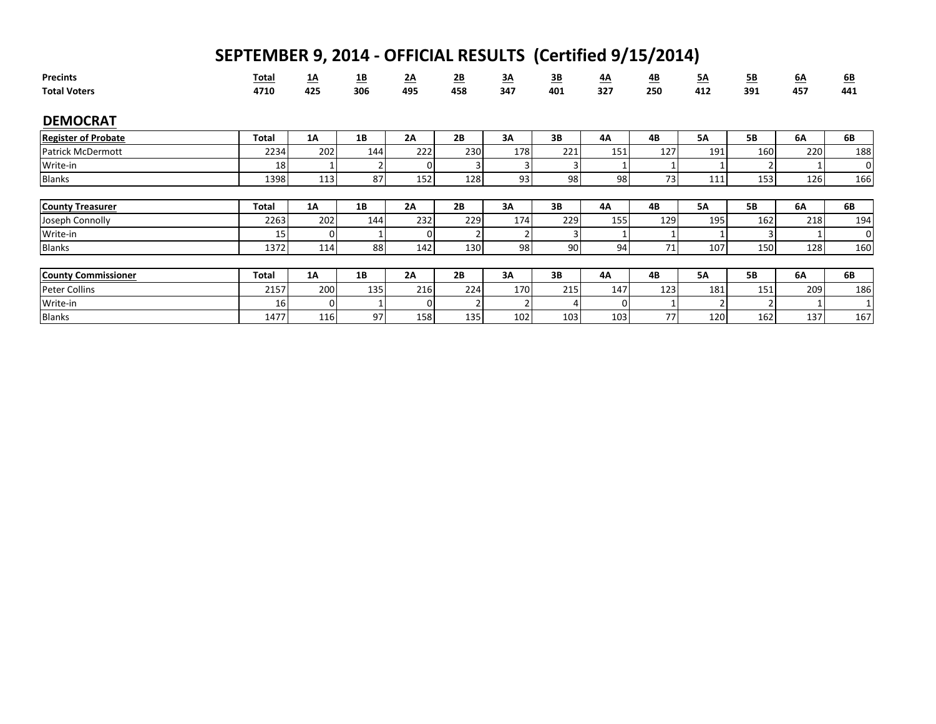| <b>Precints</b><br><b>Total Voters</b> | <b>Total</b><br>4710 | <u>1A</u><br>425 | <u>1B</u><br>306 | 2A<br>495 | $\underline{\mathbf{2B}}$<br>458 | <u>3A</u><br>347 | <u>3B</u><br>401 | <u>4A</u><br>327 | 4B<br>250 | <u>5A</u><br>412 | 5B<br>391 | <u>6A</u><br>457 | 6B<br>441 |
|----------------------------------------|----------------------|------------------|------------------|-----------|----------------------------------|------------------|------------------|------------------|-----------|------------------|-----------|------------------|-----------|
| <b>DEMOCRAT</b>                        |                      |                  |                  |           |                                  |                  |                  |                  |           |                  |           |                  |           |
| <b>Register of Probate</b>             | <b>Total</b>         | 1A               | 1B               | <b>2A</b> | 2B                               | 3A               | 3B               | 4A               | 4B        | <b>5A</b>        | <b>5B</b> | 6A               | 6B        |
| <b>Patrick McDermott</b>               | 2234                 | 202              | 144              | 222       | 230                              | 178              | 221              | 151              | 127       | 191              | 160       | 220              | 188       |
| Write-in                               | 18                   |                  | 2                | $\Omega$  | 3                                | 3                |                  |                  |           |                  |           |                  | 0         |
| <b>Blanks</b>                          | 1398                 | 113              | 87               | 152       | 128                              | 93               | 98               | 98               | 73        | 111              | 153       | 126              | 166       |
|                                        |                      |                  |                  |           |                                  |                  |                  |                  |           |                  |           |                  |           |
| <b>County Treasurer</b>                | <b>Total</b>         | 1A               | 1B               | 2A        | 2B                               | 3A               | 3В               | 4Α               | 4B        | <b>5A</b>        | <b>5B</b> | 6A               | 6B        |
| Joseph Connolly                        | 2263                 | 202              | 144              | 232       | 229                              | 174              | 229              | 155              | 129       | 195              | 162       | 218              | 194       |
| Write-in                               | 15                   | $\Omega$         |                  |           |                                  | 2                |                  |                  |           |                  |           |                  | 0         |
| <b>Blanks</b>                          | 1372                 | 114              | 88               | 142       | 130                              | 98               | 90               | 94               | 71        | 107              | 150       | 128              | 160       |
|                                        |                      |                  |                  |           |                                  |                  |                  |                  |           |                  |           |                  |           |
| <b>County Commissioner</b>             | <b>Total</b>         | <b>1A</b>        | 1B               | 2A        | 2B                               | 3A               | 3B               | 4A               | 4B        | <b>5A</b>        | <b>5B</b> | 6A               | 6B        |
| <b>Peter Collins</b>                   | 2157                 | 200              | 135              | 216       | 224                              | 170              | 215              | 147              | 123       | 181              | 151       | 209              | 186       |
| Write-in                               | 16                   | $\Omega$         |                  |           | ຳ                                | 2                |                  | 0                |           |                  |           |                  |           |
| <b>Blanks</b>                          | 1477                 | 116              | 97               | 158       | 135                              | 102              | 103              | 103              | 77        | 120              | 162       | 137              | 167       |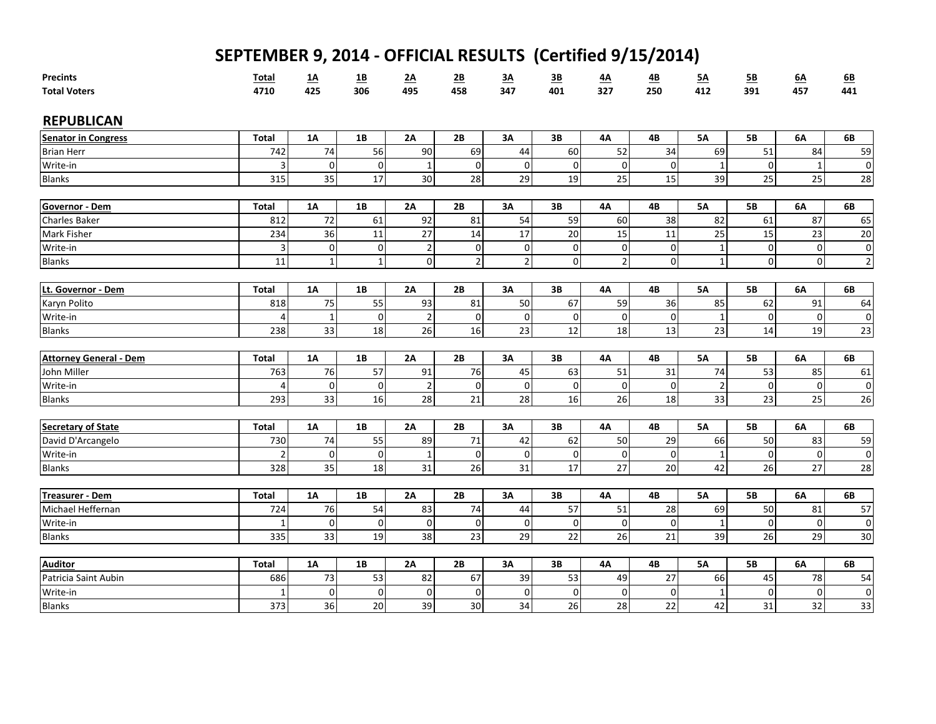| <b>Precints</b>                     | <b>Total</b>   | <u>1A</u>         | <u>1B</u>        | <u>2A</u>                  | <u>2B</u>      | 3A              | $\overline{\mathbf{3B}}$      | <u>4A</u>      | <u>4B</u>   | <u>5A</u>      | 5B                          | <u>6A</u>      | 6B                          |
|-------------------------------------|----------------|-------------------|------------------|----------------------------|----------------|-----------------|-------------------------------|----------------|-------------|----------------|-----------------------------|----------------|-----------------------------|
| <b>Total Voters</b>                 | 4710           | 425               | 306              | 495                        | 458            | 347             | 401                           | 327            | 250         | 412            | 391                         | 457            | 441                         |
| <b>REPUBLICAN</b>                   |                |                   |                  |                            |                |                 |                               |                |             |                |                             |                |                             |
| <b>Senator in Congress</b>          | <b>Total</b>   | <b>1A</b>         | 1B               | 2A                         | 2B             | 3A              | 3B                            | 4A             | 4B          | <b>5A</b>      | <b>5B</b>                   | 6A             | 6B                          |
| <b>Brian Herr</b>                   | 742            | 74                | 56               | 90                         | 69             | 44              | 60                            | 52             | 34          | 69             | 51                          | 84             | 59                          |
| Write-in                            | $\overline{3}$ | $\boldsymbol{0}$  | $\boldsymbol{0}$ |                            | $\mathbf 0$    | $\mathbf 0$     | 0                             | $\mathbf 0$    | $\mathbf 0$ | 1              | $\mathbf 0$                 |                | $\pmb{0}$                   |
| <b>Blanks</b>                       | 315            | 35                | 17               | 30                         | 28             | 29              | 19                            | 25             | 15          | 39             | 25                          | 25             | 28                          |
| Governor - Dem                      | <b>Total</b>   | <b>1A</b>         | 1B               | 2A                         | 2B             | 3A              | 3B                            | 4A             | 4B          | <b>5A</b>      | <b>5B</b>                   | 6A             | 6B                          |
|                                     |                | 72                |                  | 92                         |                | 54              | 59                            | 60             |             | 82             |                             | 87             |                             |
| <b>Charles Baker</b><br>Mark Fisher | 812<br>234     | 36                | 61<br>11         | 27                         | 81<br>14       | 17              | 20                            | 15             | 38<br>11    | 25             | 61<br>15                    | 23             | 65<br>20                    |
| Write-in                            | $\overline{3}$ |                   |                  |                            | $\mathbf 0$    | $\mathbf 0$     |                               | $\mathbf 0$    |             |                |                             | $\mathbf 0$    |                             |
| <b>Blanks</b>                       | 11             | 0<br>$\mathbf{1}$ | $\mathbf 0$      | $\overline{2}$<br>$\Omega$ | $\overline{2}$ | $\overline{2}$  | $\mathbf 0$<br>$\overline{0}$ | $\overline{2}$ | 0           | $\mathbf 1$    | $\mathbf 0$<br>$\mathbf{0}$ | $\Omega$       | $\pmb{0}$<br>$\overline{2}$ |
|                                     |                |                   | $\mathbf 1$      |                            |                |                 |                               |                | $\mathbf 0$ | $\mathbf{1}$   |                             |                |                             |
| Lt. Governor - Dem                  | <b>Total</b>   | <b>1A</b>         | 1B               | 2A                         | 2B             | 3A              | 3В                            | 4A             | 4B          | 5A             | <b>5B</b>                   | 6A             | 6B                          |
| Karyn Polito                        | 818            | 75                | 55               | 93                         | 81             | 50              | 67                            | 59             | 36          | 85             | 62                          | 91             | 64                          |
| Write-in                            | $\overline{4}$ | $\mathbf 1$       | $\mathbf 0$      | $\overline{2}$             | $\mathbf 0$    | $\mathbf 0$     | $\mathbf 0$                   | $\mathbf 0$    | $\mathbf 0$ | $\mathbf 1$    | $\mathbf 0$                 | $\overline{0}$ | $\pmb{0}$                   |
| <b>Blanks</b>                       | 238            | 33                | 18               | 26                         | 16             | 23              | 12                            | 18             | 13          | 23             | 14                          | 19             | 23                          |
|                                     |                |                   |                  |                            |                |                 |                               |                |             |                |                             |                |                             |
| <b>Attorney General - Dem</b>       | <b>Total</b>   | <b>1A</b>         | 1B               | 2A                         | 2B             | 3A              | 3B                            | 4A             | 4B          | <b>5A</b>      | <b>5B</b>                   | 6A             | 6B                          |
| John Miller                         | 763            | 76                | 57               | 91                         | 76             | 45              | 63                            | 51             | 31          | 74             | 53                          | 85             | 61                          |
| Write-in                            | $\Delta$       | $\mathbf 0$       | $\mathbf 0$      | $\mathcal{P}$              | $\mathbf 0$    | $\mathbf 0$     | $\mathbf 0$                   | $\overline{0}$ | $\mathbf 0$ | $\overline{2}$ | $\mathbf{0}$                | $\Omega$       | $\mathbf 0$                 |
| <b>Blanks</b>                       | 293            | 33                | 16               | 28                         | 21             | 28              | 16                            | 26             | 18          | 33             | 23                          | 25             | 26                          |
|                                     |                |                   |                  |                            |                |                 |                               |                |             |                |                             |                |                             |
| Secretary of State                  | <b>Total</b>   | 1A                | 1B               | 2A                         | 2B             | 3A              | 3B                            | 4Α             | 4B          | <b>5A</b>      | <b>5B</b>                   | 6A             | 6B                          |
| David D'Arcangelo                   | 730            | 74                | 55               | 89                         | 71             | 42              | 62                            | 50             | 29          | 66             | 50                          | 83             | 59                          |
| Write-in                            | $\overline{2}$ | $\mathbf 0$       | $\mathbf 0$      |                            | $\mathbf 0$    | $\mathbf 0$     | 0                             | $\mathbf 0$    | $\mathbf 0$ | 1              | $\mathbf{0}$                | $\Omega$       | $\mathbf 0$                 |
| <b>Blanks</b>                       | 328            | 35                | 18               | 31                         | 26             | 31              | 17                            | 27             | 20          | 42             | 26                          | 27             | 28                          |
|                                     |                |                   |                  |                            |                |                 |                               |                |             |                |                             |                |                             |
| Treasurer - Dem                     | <b>Total</b>   | <b>1A</b>         | 1B               | 2A                         | 2B             | 3A              | 3B                            | 4A             | 4B          | <b>5A</b>      | <b>5B</b>                   | 6A             | 6B                          |
| Michael Heffernan                   | 724            | 76                | 54               | 83                         | 74             | 44              | 57                            | 51             | 28          | 69             | 50                          | 81             | 57                          |
| Write-in                            | 1              | $\mathbf 0$       | $\mathbf 0$      | $\Omega$                   | $\mathbf 0$    | 0               | $\mathbf 0$                   | $\overline{0}$ | $\mathbf 0$ | 1              | $\mathbf{0}$                | $\Omega$       | 0                           |
| <b>Blanks</b>                       | 335            | 33                | 19               | 38                         | 23             | 29              | 22                            | 26             | 21          | 39             | 26                          | 29             | 30                          |
| <b>Auditor</b>                      | <b>Total</b>   | <b>1A</b>         | 1B               | <b>2A</b>                  | 2B             | 3A              | 3В                            | 4А             | 4B          | <b>5A</b>      | <b>5B</b>                   | 6A             | 6B                          |
| Patricia Saint Aubin                | 686            | 73                | 53               | 82                         | 67             | 39              | 53                            | 49             | 27          | 66             | 45                          | 78             | 54                          |
| Write-in                            | -1             | $\mathbf 0$       | $\boldsymbol{0}$ | $\Omega$                   | $\mathbf 0$    | $\mathbf 0$     | $\mathbf 0$                   | $\mathbf 0$    | $\mathbf 0$ | 1              | $\mathbf 0$                 | $\Omega$       | $\mathbf 0$                 |
| <b>Blanks</b>                       | 373            | $\overline{36}$   | 20               | 39                         | 30             | $\overline{34}$ | 26                            | 28             | 22          | 42             | 31                          | 32             | 33                          |